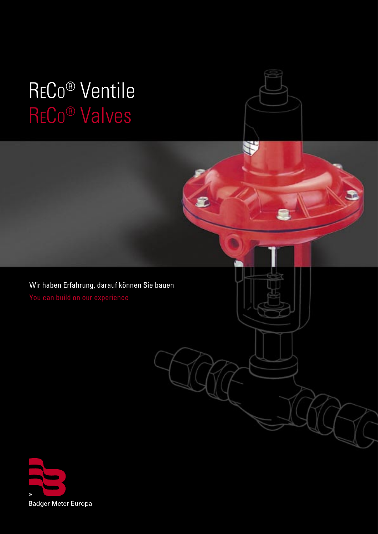# RECO® Valves RECO® Ventile



£

Wir haben Erfahrung, darauf können Sie bauen

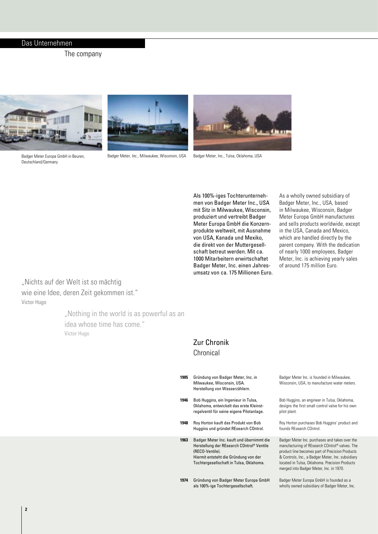### Das Unternehmen

The company



Deutschland/Germany



Badger Meter, Inc., Milwaukee, Wisconsin, USA Badger Meter, Inc., Tulsa, Oklahoma, USA



Als 100%-iges Tochterunternehmen von Badger Meter Inc., USA mit Sitz in Milwaukee, Wisconsin, produziert und vertreibt Badger Meter Europa GmbH die Konzernprodukte weltweit, mit Ausnahme von USA, Kanada und Mexiko, die direkt von der Muttergesellschaft betreut werden. Mit ca. 1000 Mitarbeitern erwirtschaftet Badger Meter, Inc. einen Jahresumsatz von ca. 175 Millionen Euro. As a wholly owned subsidiary of Badger Meter, Inc., USA, based in Milwaukee, Wisconsin, Badger Meter Europa GmbH manufactures and sells products worldwide, except in the USA, Canada and Mexico, which are handled directly by the parent company. With the dedication of nearly 1000 employees, Badger Meter, Inc. is achieving yearly sales of around 175 million Euro.

"Nichts auf der Welt ist so mächtig wie eine Idee, deren Zeit gekommen ist." Victor Hugo

> "Nothing in the world is as powerful as an idea whose time has come." Victor Hugo

### Zur Chronik Chronical

**1905**

**1946**

**1948**

| 1905 | Gründung von Badger Meter, Inc. in<br>Milwaukee, Wisconsin, USA.<br>Herstellung von Wasserzählern.                           | Badger Meter Inc. is founded in Milwau<br>Wisconsin, USA, to manufacture water                                                          |
|------|------------------------------------------------------------------------------------------------------------------------------|-----------------------------------------------------------------------------------------------------------------------------------------|
| 1946 | Bob Huggins, ein Ingenieur in Tulsa,<br>Oklahoma, entwickelt das erste Kleinst-<br>regelventil für seine eigene Pilotanlage. | Bob Huggins, an engineer in Tulsa, Okla<br>designs the first small control valve for I<br>pilot plant.                                  |
| 1948 | Roy Horton kauft das Produkt von Bob<br>Huggins und gründet REsearch COntrol.                                                | Roy Horton purchases Bob Huggins' prod<br>founds REsearch COntrol.                                                                      |
| 1963 | Badger Meter Inc. kauft und übernimmt die<br>Herstellung der REsearch COntrol® Ventile<br>(RECO-Ventile).                    | Badger Meter Inc. purchases and takes<br>manufacturing of REsearch COntrol <sup>®</sup> val<br>product line becomes part of Precision P |

- Hiermit entsteht die Gründung von der Tochtergesellschaft in Tulsa, Oklahoma.
- 1974 Gründung von Badger Meter Europa GmbH als 100%-ige Tochtergesellschaft.

ikee, meters

homa, his own

duct and

over the manufacturing of REsearch COntrol® valves. The products & Controls, Inc., a Badger Meter, Inc. subsidiary located in Tulsa, Oklahoma. Precision Products merged into Badger Meter, Inc. in 1970.

Badger Meter Europa GmbH is founded as a wholly owned subsidiary of Badger Meter, Inc.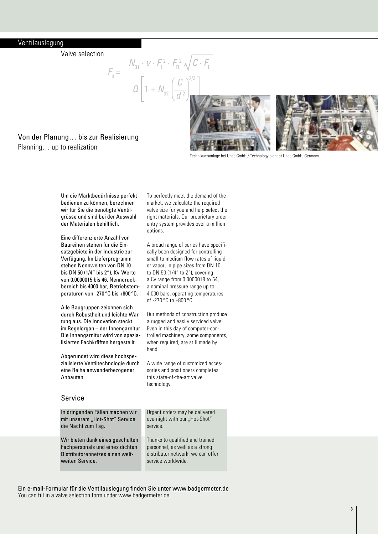### Ventilauslegung

Valve selection

$$
F_{d} = \frac{N_{31} \cdot v \cdot F_{L}^{2} \cdot F_{R}^{2} \sqrt{C \cdot F_{L}}}{Q \left[1 + N_{32} \left(\frac{C}{d^{2}}\right)^{2/3}\right]}
$$

To perfectly meet the demand of the market, we calculate the required valve size for you and help select the right materials. Our proprietary order entry system provides over a million

A broad range of series have specifically been designed for controlling small to medium flow rates of liquid or vapor, in pipe sizes from DN 10 to DN 50 (1/4" to 2"), covering a Cv range from 0.0000018 to 54, a nominal pressure range up to 4,000 bars, operating temperatures

Our methods of construction produce a rugged and easily serviced valve. Even in this day of computer-controlled machinery, some components, when required, are still made by

A wide range of customized accessories and positioners completes this state-of-the-art valve

of -270 °C to +800 °C.

options.

hand.

technology.

### Von der Planung… bis zur Realisierung Planning… up to realization



Technikumsanlage bei Uhde GmbH / Technology plant at Uhde GmbH, Germany.

Um die Marktbedürfnisse perfekt bedienen zu können, berechnen wir für Sie die benötigte Ventilgrösse und sind bei der Auswahl der Materialen behilflich.

Eine differenzierte Anzahl von Baureihen stehen für die Einsatzgebiete in der Industrie zur Verfügung. Im Lieferprogramm stehen Nennweiten von DN 10 bis DN 50 (1/4" bis 2"), Kv-Werte von 0,0000015 bis 46, Nenndruckbereich bis 4000 bar, Betriebstemperaturen von -270 °C bis +800 °C.

Alle Baugruppen zeichnen sich durch Robustheit und leichte Wartung aus. Die Innovation steckt im Regelorgan – der Innengarnitur. Die Innengarnitur wird von spezialisierten Fachkräften hergestellt.

Abgerundet wird diese hochspezialisierte Ventiltechnologie durch eine Reihe anwenderbezogener Anbauten.

### Service

| In dringenden Fällen machen wir  | Urgent orders may be delivered    |
|----------------------------------|-----------------------------------|
| mit unserem "Hot-Shot" Service   | overnight with our "Hot-Shot"     |
| die Nacht zum Tag.               | service.                          |
| Wir bieten dank eines geschulten | Thanks to qualified and trained   |
| Fachpersonals und eines dichten  | personnel, as well as a strong    |
| Distributorennetzes einen welt-  | distributor network, we can offer |
| weiten Service.                  | service worldwide.                |

Ein e-mail-Formular für die Ventilauslegung finden Sie unter www.badgermeter.de You can fill in a valve selection form under www.badgermeter.de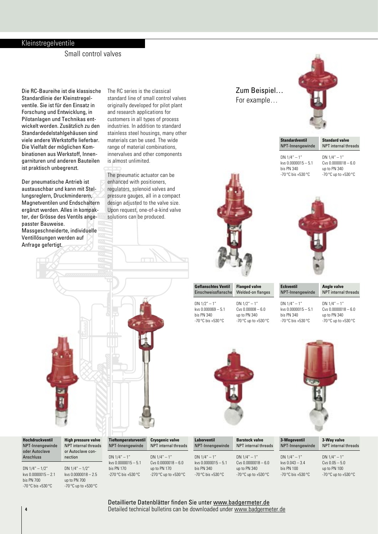### Kleinstregelventile

Small control valves

Die RC-Baureihe ist die klassische Standardlinie der Kleinstregelventile. Sie ist für den Einsatz in Forschung und Entwicklung, in Pilotanlagen und Technikas entwickelt worden. Zusätzlich zu den Standardedelstahlgehäusen sind viele andere Werkstoffe lieferbar. Die Vielfalt der möglichen Kombinationen aus Werkstoff, Innengarnituren und anderen Bauteilen ist praktisch unbegrenzt.

Der pneumatische Antrieb ist austauschbar und kann mit Stellungsreglern, Druckminderern, Magnetventilen und Endschaltern ergänzt werden. Alles in kompakter, der Grösse des Ventils angepasster Bauweise. Massgeschneiderte, individuelle

Ventillösungen werden auf Anfrage gefertigt.

The RC series is the classical standard line of small control valves originally developed for pilot plant and research applications for customers in all types of process industries. In addition to standard stainless steel housings, many other materials can be used. The wide range of material combinations, innervalves and other components is almost unlimited.

The pneumatic actuator can be enhanced with positioners, regulators, solenoid valves and pressure gauges, all in a compact design adjusted to the valve size. Upon request, one-of-a-kind valve solutions can be produced.

### Zum Beispiel… For example…



**Standardventil** NPT-Innengewinde DN  $1/4" - 1"$ **Standard valve** NPT internal threads

kvs 0.0000015 – 5.1 bis PN 340 -70 °C bis +530 °C

DN  $1/4" - 1"$ Cvs 0.0000018 – 6.0 up to PN 340 -70 °C up to +530 °C



| <b>Angle valve</b><br><b>NPT</b> internal threads |
|---------------------------------------------------|
|                                                   |

| <b>Rubbit</b> | t |   |
|---------------|---|---|
|               |   | П |
|               |   |   |
|               |   |   |
|               |   |   |
|               |   |   |
|               |   |   |



DN 1/2" – 1" Cvs 0.00008 – 6.0 up to PN 340 -70 °C up to +530 °C

DN 1/4" – 1" kvs 0.0000015 – 5.1 bis PN 340 -70 °C bis +530 °C

DN  $1/4" - 1"$ Cvs 0.0000018 – 6.0 up to PN 340 -70 °C up to +530 °C



**3-Wegeventil** NPT-Innengewinde DN  $1/4" - 1"$ kvs 0.043 – 3.4 bis PN 100 **3-Way valve** NPT internal threads **Hochdruckventil** NPT-Innengewinde oder Autoclave Anschluss DN 1/4" – 1/2" **High pressure valve** NPT internal threads or Autoclave connection DN  $1/4" - 1/2"$ **Laborventil** NPT-Innengewinde DN  $1/4" - 1"$ kvs 0.0000015 – 5.1 bis PN 340 **Barstock valve** NPT internal threads DN  $1/4" - 1"$ Cvs 0.0000018 – 6.0 up to PN 340 **Tieftemperaturventil** NPT-Innengewinde DN  $1/4" - 1"$ kvs 0.0000015 – 5.1 bis PN 170 **Cryogenic valve** NPT internal threads DN  $1/4" - 1"$ Cvs 0.0000018 – 6.0 up to PN 170

 $kvs$  0.0000015 – 2.1 bis PN 700 -70 °C bis +530 °C

 $kvs \cap 0000018 - 2.5$ up to PN 700 -70 °C up to +530 °C

-270 °C bis +530 °C

-270 °C up to +530 °C

-70 °C bis +530 °C -70 °C up to +530 °C

-70 °C bis +530 °C

DN  $1/4" - 1"$  $Cvs$  0.05 – 5.0 up to PN 100 -70 °C up to +530 °C

**4 5** Detailed technical bulletins can be downloaded under www.badgermeter.deDetaillierte Datenblätter finden Sie unter www.badgermeter.de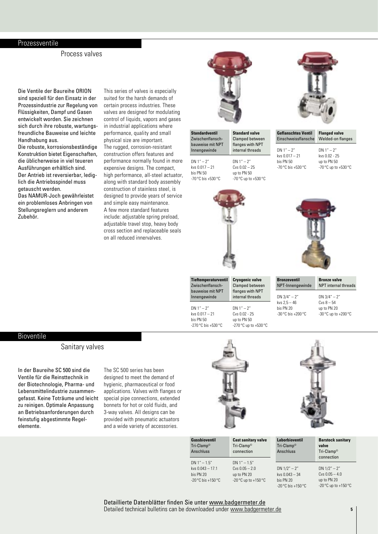#### Prozessventile

Process valves

Die Ventile der Baureihe ORION sind speziell für den Einsatz in der Prozessindustrie zur Regelung von Flüssigkeiten, Dampf und Gasen entwickelt worden. Sie zeichnen sich durch ihre robuste, wartungsfreundliche Bauweise und leichte Handhabung aus.

Die robuste, korrosionsbeständige Konstruktion bietet Eigenschaften, die üblicherweise in viel teueren Ausführungen erhältlich sind. Der Antrieb ist reversierbar, lediglich die Antriebsspindel muss getauscht werden.

Das NAMUR-Joch gewährleistet ein problemloses Anbringen von Stellungsreglern und anderem Zubehör.

This series of valves is especially suited for the harsh demands of certain process industries. These valves are designed for modulating control of liquids, vapors and gases in industrial applications where performance, quality and small physical size are important. The rugged, corrosion-resistant construction offers features and performance normally found in more expensive designs. The compact, high performance, all-steel actuator, along with standard body assembly construction of stainless steel, is designed to provide years of service and simple easy maintenance. A few more standard features include: adjustable spring preload, adjustable travel stop, heavy body cross section and replaceable seals on all reduced innervalves.



**Standardventil** Zwischenflanschbauweise mit NPT Innengewinde DN 1" – 2" kvs 0.017 – 21 **Standard valve** Clamped between flanges with NPT internal threads DN 1" – 2"

bis PN 50 -70 °C bis +530 °C

**Tieftemperaturventil** Zwischenflanschbauweise mit NPT Innengewinde  $DN 1" - 2"$ kvs 0.017 – 21 bis PN 50 -270 °C bis +530 °C

Cvs 0.02 – 25 up to PN 50  $-70^{\circ}$ C up to  $+530^{\circ}$ C

> **Cryogenic valve** Clamped between flanges with NPT internal threads DN 1" – 2" Cvs 0.02 - 25 up to PN 50 -270 °C up to +530 °C



| <b>Geflanschtes Ventil</b><br><b>Finschweissflansche</b> | <b>Flanged valve</b><br><b>Welded-on flanges</b> |
|----------------------------------------------------------|--------------------------------------------------|
| $DN 1" - 2"$                                             | $DN 1" - 2"$                                     |
| kys $0.017 - 21$                                         | kvs በ በ2 - 25                                    |
| his PN 50                                                | up to PN 50                                      |
| $-70^{\circ}$ C his $+530^{\circ}$ C                     | -70 °C up to +530 °C                             |





 $-30$  °C up to  $+200$  °C

#### Bioventile

#### Sanitary valves

In der Baureihe SC 500 sind die Ventile für die Reinsttechnik in der Biotechnologie, Pharma- und Lebensmittelindustrie zusammengefasst. Keine Toträume und leicht zu reinigen. Optimale Anpassung an Betriebsanforderungen durch feinstufig abgestimmte Regelelemente.

The SC 500 series has been designed to meet the demand of hygienic, pharmaceutical or food applications. Valves with flanges or special pipe connections, extended bonnets for hot or cold fluids, and 3-way valves. All designs can be provided with pneumatic actuators and a wide variety of accessories.





| <b>Gussbioventil</b><br>Tri-Clamp <sup>®</sup><br><b>Anschluss</b> | <b>Cast sanitary valve</b><br>Tri-Clamp <sup>®</sup><br>connection | <b>Laborbioventil</b><br>Tri-Clamp <sup>®</sup><br><b>Anschluss</b> | <b>Barstock sanitary</b><br>valve<br>$Tri-Clamp^{\circ}$<br>connection |
|--------------------------------------------------------------------|--------------------------------------------------------------------|---------------------------------------------------------------------|------------------------------------------------------------------------|
| DN $1'' - 1.5''$                                                   | $DN 1'' - 1.5''$                                                   | $DN 1/2" - 2"$                                                      | DN $1/2" - 2"$                                                         |
| kvs $0.043 - 17.1$                                                 | Cys $0.05 - 2.0$                                                   | kvs $0.043 - 34$                                                    | $Cvs$ 0.05 $-4.0$                                                      |
| bis PN 20                                                          | up to PN 20                                                        | bis PN 20                                                           | up to PN 20                                                            |
| $-20^{\circ}$ C bis $+150^{\circ}$ C                               | -20 °C up to +150 °C                                               | $-20^{\circ}$ C bis $+150^{\circ}$ C                                | -20 $\mathrm{^{\circ}C}$ up to +150 $\mathrm{^{\circ}C}$               |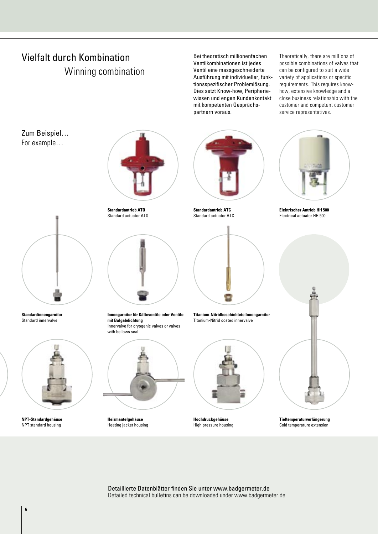# Vielfalt durch Kombination Winning combination

Bei theoretisch millionenfachen Ventilkombinationen ist jedes Ventil eine massgeschneiderte Ausführung mit individueller, funktionsspezifischer Problemlösung. Dies setzt Know-how, Peripheriewissen und engen Kundenkontakt mit kompetenten Gesprächspartnern voraus.

Theoretically, there are millions of possible combinations of valves that can be configured to suit a wide variety of applications or specific requirements. This requires knowhow, extensive knowledge and a close business relationship with the customer and competent customer service representatives.

Zum Beispiel… For example…



**Standardinnengarnitur**  Standard innervalve



**NPT-Standardgehäuse**  NPT standard housing



**Standardantrieb ATO** Standard actuator ATO



**Innengarnitur für Kälteventile oder Ventile mit Balgabdichtung**  Innervalve for cryogenic valves or valves with bellows seal



**Heizmantelgehäuse**  Heating jacket housing



**Standardantrieb ATC**  Standard actuator ATC



**Titanium-Nitridbeschichtete Innengarnitur**  Titanium-Nitrid coated innervalve



**Hochdruckgehäuse** High pressure housing



**Elektrischer Antrieb HH 500**  Electrical actuator HH 500



**Tieftemperaturverlängerung**  Cold temperature extension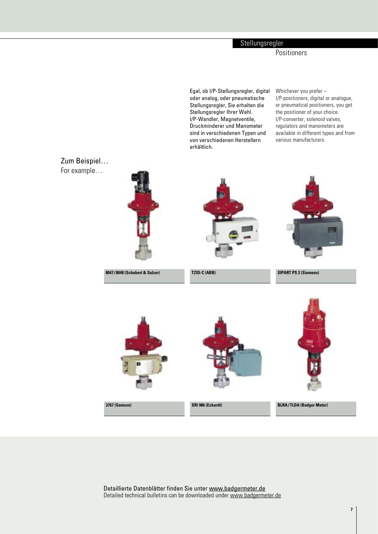## **Stellungsregler**

Positioners

Egal, ob I/P-Stellungsregler, digital oder analog, oder pneumatische Stellungsregler, Sie erhalten die Stellungsregler Ihrer Wahl. I/P-Wandler, Magnetventile, Druckminderer und Manometer sind in verschiedenen Typen und von verschiedenen Herstellern erhältlich.

Whichever you prefer – I/P-positioners, digital or analogue, or pneumatical positioners, you get the positioner of your choice. I/P-converter, solenoid valves, regulators and manometers are available in different types and from various manufacturers.

Zum Beispiel… For example…



Detaillierte Datenblätter finden Sie unter www.badgermeter.de Detailed technical bulletins can be downloaded under www.badgermeter.de